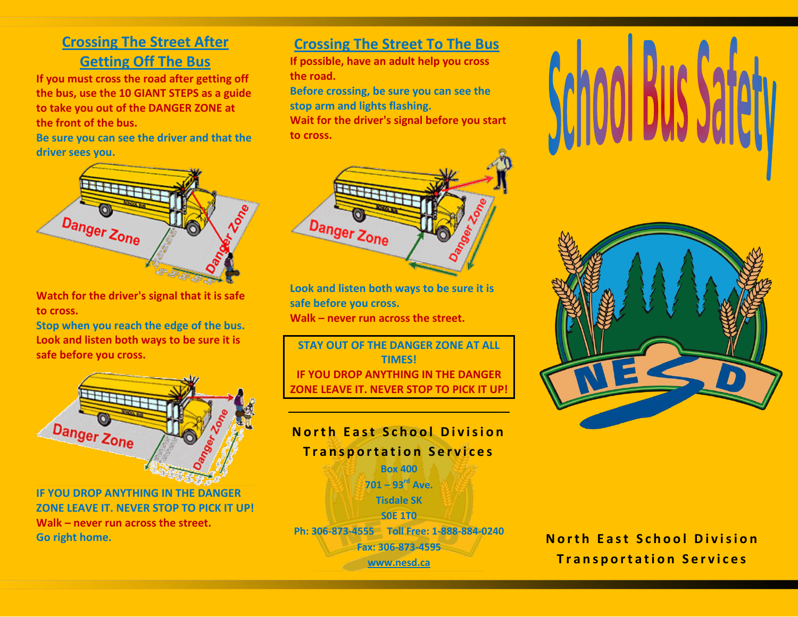## **Crossing The Street After Getting Off The Bus**

**If you must cross the road after getting off the bus, use the 10 GIANT STEPS as a guide to take you out of the DANGER ZONE at the front of the bus.**

**Be sure you can see the driver and that the driver sees you.**



**Watch for the driver's signal that it is safe to cross.**

**Stop when you reach the edge of the bus. Look and listen both ways to be sure it is safe before you cross.**



**IF YOU DROP ANYTHING IN THE DANGER ZONE LEAVE IT. NEVER STOP TO PICK IT UP! Walk – never run across the street. Go right home.**

#### **Crossing The Street To The Bus**

**If possible, have an adult help you cross the road.**

**Before crossing, be sure you can see the stop arm and lights flashing. Wait for the driver's signal before you start to cross.**



**Look and listen both ways to be sure it is safe before you cross. Walk – never run across the street.**

**STAY OUT OF THE DANGER ZONE AT ALL TIMES! IF YOU DROP ANYTHING IN THE DANGER ZONE LEAVE IT. NEVER STOP TO PICK IT UP!**







**North East School Division Transportation Services**